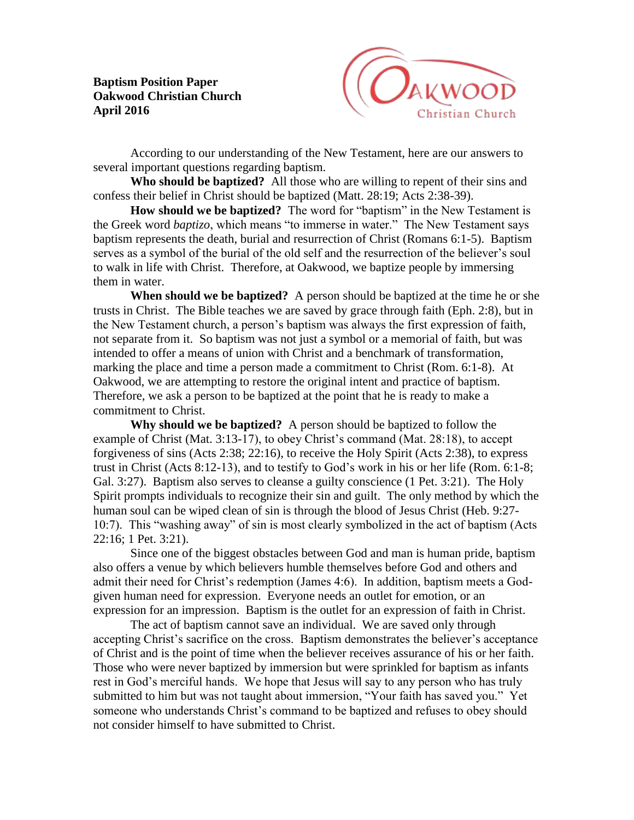**Baptism Position Paper Oakwood Christian Church April 2016**



According to our understanding of the New Testament, here are our answers to several important questions regarding baptism.

**Who should be baptized?** All those who are willing to repent of their sins and confess their belief in Christ should be baptized (Matt. 28:19; Acts 2:38-39).

**How should we be baptized?** The word for "baptism" in the New Testament is the Greek word *baptizo*, which means "to immerse in water." The New Testament says baptism represents the death, burial and resurrection of Christ (Romans 6:1-5). Baptism serves as a symbol of the burial of the old self and the resurrection of the believer's soul to walk in life with Christ. Therefore, at Oakwood, we baptize people by immersing them in water.

**When should we be baptized?** A person should be baptized at the time he or she trusts in Christ. The Bible teaches we are saved by grace through faith (Eph. 2:8), but in the New Testament church, a person's baptism was always the first expression of faith, not separate from it. So baptism was not just a symbol or a memorial of faith, but was intended to offer a means of union with Christ and a benchmark of transformation, marking the place and time a person made a commitment to Christ (Rom. 6:1-8). At Oakwood, we are attempting to restore the original intent and practice of baptism. Therefore, we ask a person to be baptized at the point that he is ready to make a commitment to Christ.

**Why should we be baptized?** A person should be baptized to follow the example of Christ (Mat. 3:13-17), to obey Christ's command (Mat. 28:18), to accept forgiveness of sins (Acts 2:38; 22:16), to receive the Holy Spirit (Acts 2:38), to express trust in Christ (Acts 8:12-13), and to testify to God's work in his or her life (Rom. 6:1-8; Gal. 3:27). Baptism also serves to cleanse a guilty conscience (1 Pet. 3:21). The Holy Spirit prompts individuals to recognize their sin and guilt. The only method by which the human soul can be wiped clean of sin is through the blood of Jesus Christ (Heb. 9:27- 10:7). This "washing away" of sin is most clearly symbolized in the act of baptism (Acts 22:16; 1 Pet. 3:21).

Since one of the biggest obstacles between God and man is human pride, baptism also offers a venue by which believers humble themselves before God and others and admit their need for Christ's redemption (James 4:6). In addition, baptism meets a Godgiven human need for expression. Everyone needs an outlet for emotion, or an expression for an impression. Baptism is the outlet for an expression of faith in Christ.

The act of baptism cannot save an individual. We are saved only through accepting Christ's sacrifice on the cross. Baptism demonstrates the believer's acceptance of Christ and is the point of time when the believer receives assurance of his or her faith. Those who were never baptized by immersion but were sprinkled for baptism as infants rest in God's merciful hands. We hope that Jesus will say to any person who has truly submitted to him but was not taught about immersion, "Your faith has saved you." Yet someone who understands Christ's command to be baptized and refuses to obey should not consider himself to have submitted to Christ.